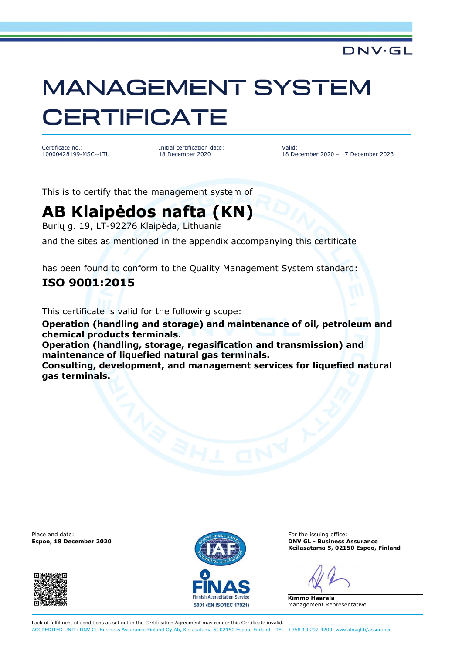### DNV·GL

# MANAGEMENT SYSTEM **CERTIFICATE**

Certificate no.: 10000428199-MSC--LTU Initial certification date: 18 December 2020

Valid: 18 December 2020 – 17 December 2023

This is to certify that the management system of

## **AB Klaipėdos nafta (KN)**

Burių g. 19, LT-92276 Klaipėda, Lithuania

and the sites as mentioned in the appendix accompanying this certificate

has been found to conform to the Quality Management System standard:

#### **ISO 9001:2015**

This certificate is valid for the following scope:

**Operation (handling and storage) and maintenance of oil, petroleum and chemical products terminals.**

**Operation (handling, storage, regasification and transmission) and maintenance of liquefied natural gas terminals.**

**Consulting, development, and management services for liquefied natural gas terminals.**

Place and date: For the issuing office:





**Espoo, 18 December 2020 DNV GL - Business Assurance Keilasatama 5, 02150 Espoo, Finland** 

**Kimmo Haarala**  Management Representative

Lack of fulfilment of conditions as set out in the Certification Agreement may render this Certificate invalid. ACCREDITED UNIT: DNV GL Business Assurance Finland Oy Ab, Keilasatama 5, 02150 Espoo, Finland - TEL: +358 10 292 4200. www.dnvgl.fi/assurance